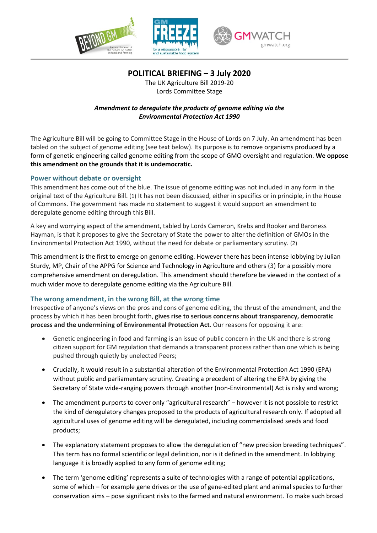

**POLITICAL BRIEFING – 3 July 2020**

The UK Agriculture Bill 2019-20 Lords Committee Stage

# *Amendment to deregulate the products of genome editing via the Environmental Protection Act 1990*

The Agriculture Bill will be going to Committee Stage in the House of Lords on 7 July. An amendment has been tabled on the subject of genome editing (see text below). Its purpose is to remove organisms produced by a form of genetic engineering called genome editing from the scope of GMO oversight and regulation. **We oppose this amendment on the grounds that it is undemocratic.**

### **Power without debate or oversight**

This amendment has come out of the blue. The issue of genome editing was not included in any form in the original text of the Agriculture Bill. (1) It has not been discussed, either in specifics or in principle, in the House of Commons. The government has made no statement to suggest it would support an amendment to deregulate genome editing through this Bill.

A key and worrying aspect of the amendment, tabled by Lords Cameron, Krebs and Rooker and Baroness Hayman, is that it proposes to give the Secretary of State the power to alter the definition of GMOs in the Environmental Protection Act 1990, without the need for debate or parliamentary scrutiny. (2)

This amendment is the first to emerge on genome editing. However there has been intense lobbying by Julian Sturdy, MP, Chair of the APPG for Science and Technology in Agriculture and others (3) for a possibly more comprehensive amendment on deregulation. This amendment should therefore be viewed in the context of a much wider move to deregulate genome editing via the Agriculture Bill.

# **The wrong amendment, in the wrong Bill, at the wrong time**

Irrespective of anyone's views on the pros and cons of genome editing, the thrust of the amendment, and the process by which it has been brought forth, **gives rise to serious concerns about transparency, democratic process and the undermining of Environmental Protection Act.** Our reasons for opposing it are:

- Genetic engineering in food and farming is an issue of public concern in the UK and there is strong citizen support for GM regulation that demands a transparent process rather than one which is being pushed through quietly by unelected Peers;
- Crucially, it would result in a substantial alteration of the Environmental Protection Act 1990 (EPA) without public and parliamentary scrutiny. Creating a precedent of altering the EPA by giving the Secretary of State wide-ranging powers through another (non-Environmental) Act is risky and wrong;
- The amendment purports to cover only "agricultural research" however it is not possible to restrict the kind of deregulatory changes proposed to the products of agricultural research only. If adopted all agricultural uses of genome editing will be deregulated, including commercialised seeds and food products;
- The explanatory statement proposes to allow the deregulation of "new precision breeding techniques". This term has no formal scientific or legal definition, nor is it defined in the amendment. In lobbying language it is broadly applied to any form of genome editing;
- The term 'genome editing' represents a suite of technologies with a range of potential applications, some of which – for example gene drives or the use of gene-edited plant and animal species to further conservation aims – pose significant risks to the farmed and natural environment. To make such broad